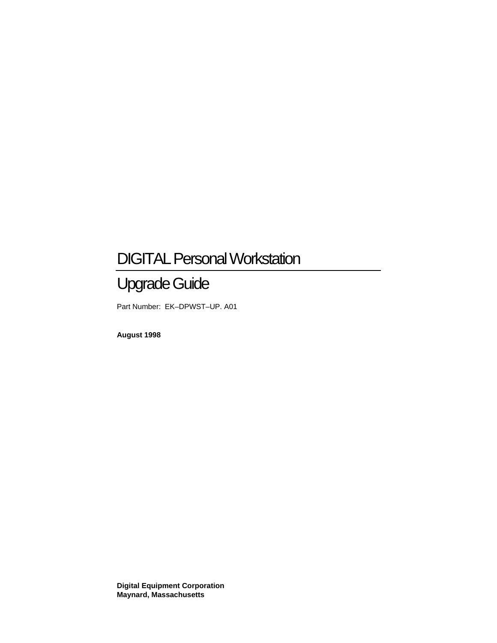# DIGITAL Personal Workstation

# Upgrade Guide

Part Number: EK–DPWST–UP. A01

**August 1998**

**Digital Equipment Corporation Maynard, Massachusetts**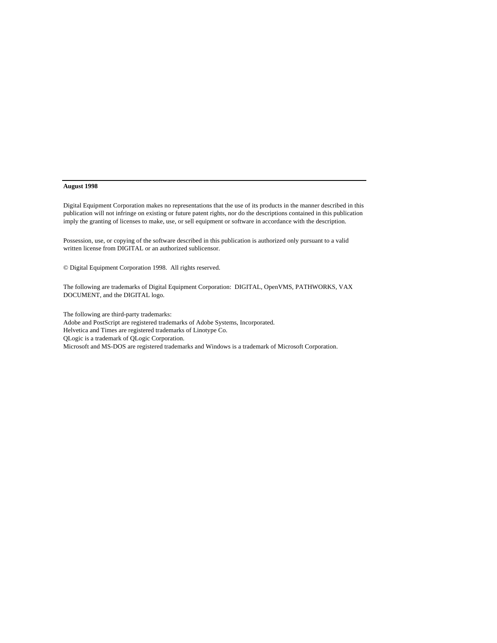#### **August 1998**

Digital Equipment Corporation makes no representations that the use of its products in the manner described in this publication will not infringe on existing or future patent rights, nor do the descriptions contained in this publication imply the granting of licenses to make, use, or sell equipment or software in accordance with the description.

Possession, use, or copying of the software described in this publication is authorized only pursuant to a valid written license from DIGITAL or an authorized sublicensor.

© Digital Equipment Corporation 1998. All rights reserved.

The following are trademarks of Digital Equipment Corporation: DIGITAL, OpenVMS, PATHWORKS, VAX DOCUMENT, and the DIGITAL logo.

The following are third-party trademarks: Adobe and PostScript are registered trademarks of Adobe Systems, Incorporated. Helvetica and Times are registered trademarks of Linotype Co. QLogic is a trademark of QLogic Corporation. Microsoft and MS-DOS are registered trademarks and Windows is a trademark of Microsoft Corporation.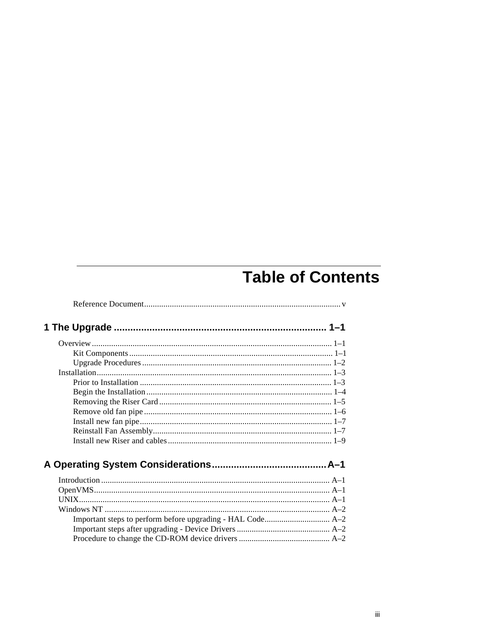# **Table of Contents**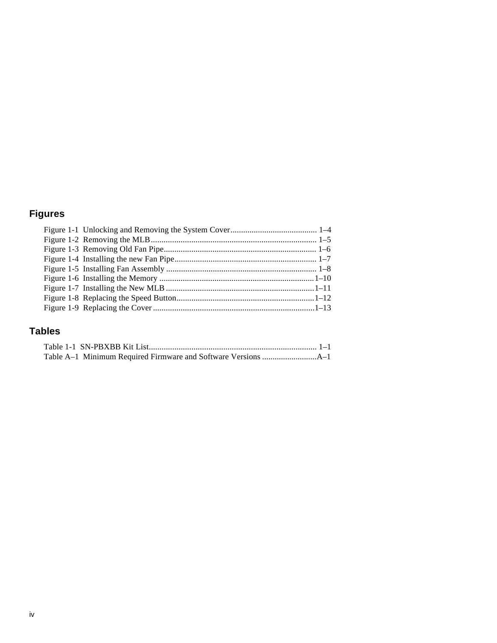# **Figures**

## **Tables**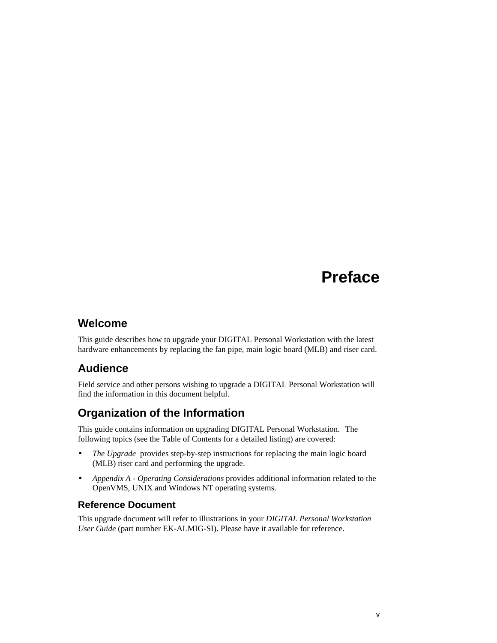# **Preface**

## **Welcome**

This guide describes how to upgrade your DIGITAL Personal Workstation with the latest hardware enhancements by replacing the fan pipe, main logic board (MLB) and riser card.

# **Audience**

Field service and other persons wishing to upgrade a DIGITAL Personal Workstation will find the information in this document helpful.

# **Organization of the Information**

This guide contains information on upgrading DIGITAL Personal Workstation.The following topics (see the Table of Contents for a detailed listing) are covered:

- *The Upgrade* provides step-by-step instructions for replacing the main logic board (MLB) riser card and performing the upgrade.
- *Appendix A Operating Considerations* provides additional information related to the OpenVMS, UNIX and Windows NT operating systems.

## **Reference Document**

This upgrade document will refer to illustrations in your *DIGITAL Personal Workstation User Guide* (part number EK-ALMIG-SI). Please have it available for reference.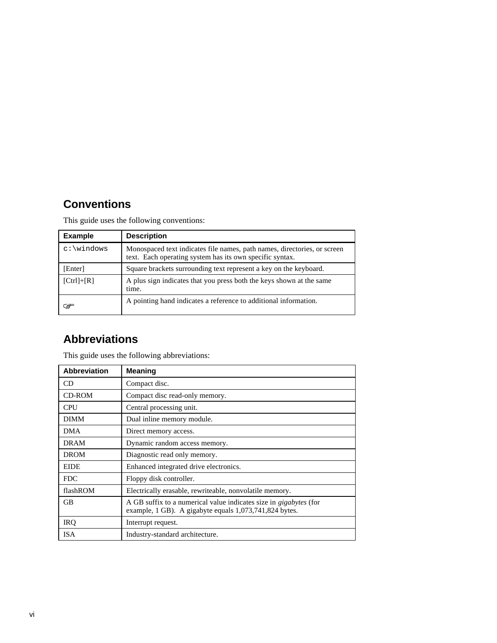# **Conventions**

This guide uses the following conventions:

| <b>Example</b> | <b>Description</b>                                                                                                                   |
|----------------|--------------------------------------------------------------------------------------------------------------------------------------|
|                | Monospaced text indicates file names, path names, directories, or screen<br>text. Each operating system has its own specific syntax. |
| [Enter]        | Square brackets surrounding text represent a key on the keyboard.                                                                    |
| $[Ctrl]+[R]$   | A plus sign indicates that you press both the keys shown at the same<br>time.                                                        |
| డా             | A pointing hand indicates a reference to additional information.                                                                     |

# **Abbreviations**

| <b>Abbreviation</b> | <b>Meaning</b>                                                                                                                     |
|---------------------|------------------------------------------------------------------------------------------------------------------------------------|
| CD                  | Compact disc.                                                                                                                      |
| <b>CD-ROM</b>       | Compact disc read-only memory.                                                                                                     |
| <b>CPU</b>          | Central processing unit.                                                                                                           |
| <b>DIMM</b>         | Dual inline memory module.                                                                                                         |
| <b>DMA</b>          | Direct memory access.                                                                                                              |
| DRAM                | Dynamic random access memory.                                                                                                      |
| <b>DROM</b>         | Diagnostic read only memory.                                                                                                       |
| <b>EIDE</b>         | Enhanced integrated drive electronics.                                                                                             |
| <b>FDC</b>          | Floppy disk controller.                                                                                                            |
| flashROM            | Electrically erasable, rewriteable, nonvolatile memory.                                                                            |
| GB                  | A GB suffix to a numerical value indicates size in <i>gigabytes</i> (for<br>example, 1 GB). A gigabyte equals 1,073,741,824 bytes. |
| <b>IRQ</b>          | Interrupt request.                                                                                                                 |
| <b>ISA</b>          | Industry-standard architecture.                                                                                                    |

This guide uses the following abbreviations: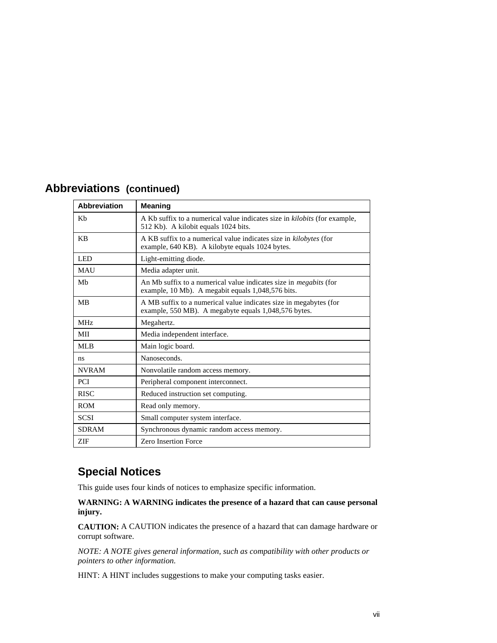| <b>Abbreviations (continued)</b> |  |
|----------------------------------|--|
|                                  |  |

| <b>Abbreviation</b> | <b>Meaning</b>                                                                                                                |
|---------------------|-------------------------------------------------------------------------------------------------------------------------------|
| Kb                  | A Kb suffix to a numerical value indicates size in kilobits (for example,<br>512 Kb). A kilobit equals 1024 bits.             |
| <b>KB</b>           | A KB suffix to a numerical value indicates size in kilobytes (for<br>example, 640 KB). A kilobyte equals 1024 bytes.          |
| LED                 | Light-emitting diode.                                                                                                         |
| <b>MAU</b>          | Media adapter unit.                                                                                                           |
| Mb                  | An Mb suffix to a numerical value indicates size in <i>megabits</i> (for<br>example, 10 Mb). A megabit equals 1,048,576 bits. |
| <b>MB</b>           | A MB suffix to a numerical value indicates size in megabytes (for<br>example, 550 MB). A megabyte equals 1,048,576 bytes.     |
| MH <sub>z</sub>     | Megahertz.                                                                                                                    |
| MII                 | Media independent interface.                                                                                                  |
| ML <sub>B</sub>     | Main logic board.                                                                                                             |
| ns                  | Nanoseconds.                                                                                                                  |
| <b>NVRAM</b>        | Nonvolatile random access memory.                                                                                             |
| <b>PCI</b>          | Peripheral component interconnect.                                                                                            |
| <b>RISC</b>         | Reduced instruction set computing.                                                                                            |
| <b>ROM</b>          | Read only memory.                                                                                                             |
| <b>SCSI</b>         | Small computer system interface.                                                                                              |
| <b>SDRAM</b>        | Synchronous dynamic random access memory.                                                                                     |
| ZIF                 | <b>Zero Insertion Force</b>                                                                                                   |

## **Special Notices**

This guide uses four kinds of notices to emphasize specific information.

**WARNING: A WARNING indicates the presence of a hazard that can cause personal injury.**

**CAUTION:** A CAUTION indicates the presence of a hazard that can damage hardware or corrupt software.

*NOTE: A NOTE gives general information, such as compatibility with other products or pointers to other information.*

HINT: A HINT includes suggestions to make your computing tasks easier.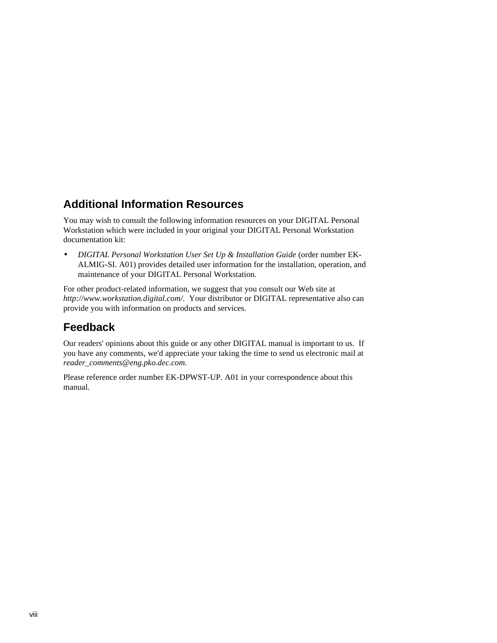## **Additional Information Resources**

You may wish to consult the following information resources on your DIGITAL Personal Workstation which were included in your original your DIGITAL Personal Workstation documentation kit:

• *DIGITAL Personal Workstation User Set Up & Installation Guide* (order number EK-ALMIG-SI. A01) provides detailed user information for the installation, operation, and maintenance of your DIGITAL Personal Workstation.

For other product-related information, we suggest that you consult our Web site at *http://www.workstation.digital.com/.* Your distributor or DIGITAL representative also can provide you with information on products and services.

## **Feedback**

Our readers' opinions about this guide or any other DIGITAL manual is important to us. If you have any comments, we'd appreciate your taking the time to send us electronic mail at *reader\_comments@eng.pko.dec.com*.

Please reference order number EK-DPWST-UP. A01 in your correspondence about this manual.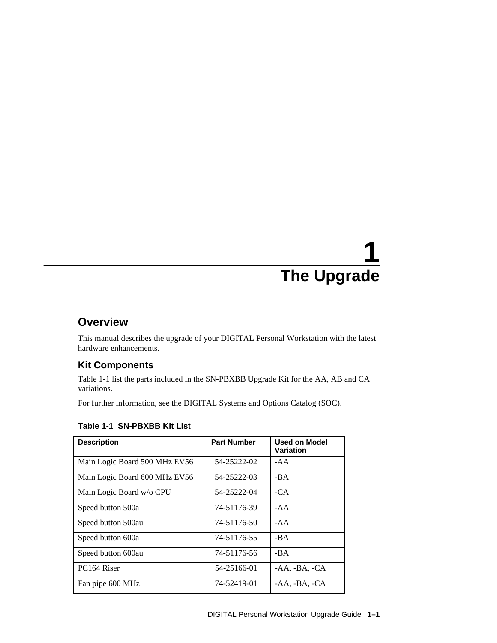## **Overview**

This manual describes the upgrade of your DIGITAL Personal Workstation with the latest hardware enhancements.

## **Kit Components**

Table 1-1 list the parts included in the SN-PBXBB Upgrade Kit for the AA, AB and CA variations.

For further information, see the DIGITAL Systems and Options Catalog (SOC).

| <b>Description</b>            | <b>Part Number</b> | <b>Used on Model</b><br>Variation |
|-------------------------------|--------------------|-----------------------------------|
| Main Logic Board 500 MHz EV56 | 54-25222-02        | $-AA$                             |
| Main Logic Board 600 MHz EV56 | 54-25222-03        | -BA                               |
| Main Logic Board w/o CPU      | 54-25222-04        | $-CA$                             |
| Speed button 500a             | 74-51176-39        | $-AA$                             |
| Speed button 500au            | 74-51176-50        | $-AA$                             |
| Speed button 600a             | 74-51176-55        | -BA                               |
| Speed button 600au            | 74-51176-56        | $-BA$                             |
| PC <sub>164</sub> Riser       | 54-25166-01        | $-AA$ , $-BA$ , $-CA$             |
| Fan pipe 600 MHz              | 74-52419-01        | -AA, -BA, -CA                     |

## **Table 1-1 SN-PBXBB Kit List**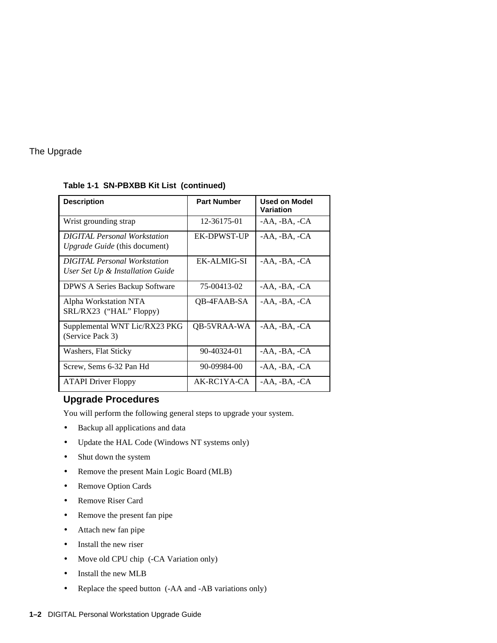| <b>Description</b>                                                      | <b>Part Number</b> | Used on Model<br>Variation |
|-------------------------------------------------------------------------|--------------------|----------------------------|
| Wrist grounding strap                                                   | 12-36175-01        | $-AA$ , $-BA$ , $-CA$      |
| <b>DIGITAL Personal Workstation</b><br>Upgrade Guide (this document)    | EK-DPWST-UP        | -AA, -BA, -CA              |
| <b>DIGITAL Personal Workstation</b><br>User Set Up & Installation Guide | EK-ALMIG-SI        | $-AA$ , $-BA$ , $-CA$      |
| <b>DPWS A Series Backup Software</b>                                    | 75-00413-02        | $-AA$ , $-BA$ , $-CA$      |
| Alpha Workstation NTA<br>SRL/RX23 ("HAL" Floppy)                        | QB-4FAAB-SA        | -AA, -BA, -CA              |
| Supplemental WNT Lic/RX23 PKG<br>(Service Pack 3)                       | QB-5VRAA-WA        | $-AA$ , $-BA$ , $-CA$      |
| Washers, Flat Sticky                                                    | 90-40324-01        | $-AA$ , $-BA$ , $-CA$      |
| Screw, Sems 6-32 Pan Hd                                                 | 90-09984-00        | $-AA$ , $-BA$ , $-CA$      |
| <b>ATAPI Driver Floppy</b>                                              | AK-RC1YA-CA        | -AA, -BA, -CA              |

#### **Table 1-1 SN-PBXBB Kit List (continued)**

### **Upgrade Procedures**

You will perform the following general steps to upgrade your system.

- Backup all applications and data
- Update the HAL Code (Windows NT systems only)
- Shut down the system
- Remove the present Main Logic Board (MLB)
- Remove Option Cards
- Remove Riser Card
- Remove the present fan pipe
- Attach new fan pipe
- Install the new riser
- Move old CPU chip (-CA Variation only)
- Install the new MLB
- Replace the speed button (-AA and -AB variations only)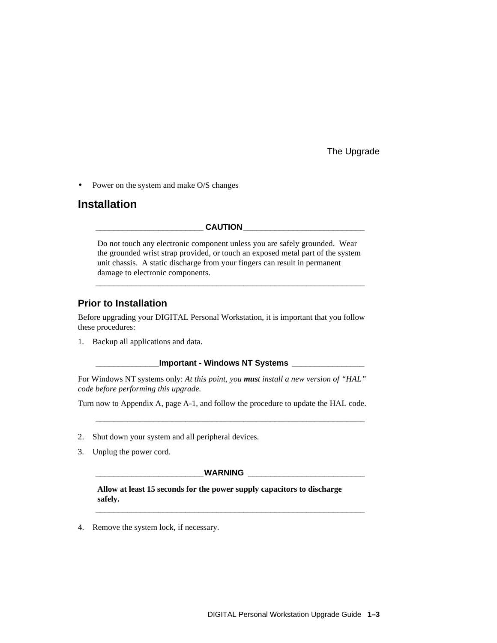• Power on the system and make O/S changes

## **Installation**

CAUTION

Do not touch any electronic component unless you are safely grounded. Wear the grounded wrist strap provided, or touch an exposed metal part of the system unit chassis. A static discharge from your fingers can result in permanent damage to electronic components.

**\_\_\_\_\_\_\_\_\_\_\_\_\_\_\_\_\_\_\_\_\_\_\_\_\_\_\_\_\_\_\_\_\_\_\_\_\_\_\_\_\_\_\_\_\_\_\_\_\_\_\_\_\_\_\_\_\_\_\_\_**

### **Prior to Installation**

Before upgrading your DIGITAL Personal Workstation, it is important that you follow these procedures:

1. Backup all applications and data.

#### **\_\_\_\_\_\_\_\_\_\_\_\_\_\_Important - Windows NT Systems \_\_\_\_\_\_\_\_\_\_\_\_\_\_\_\_**

For Windows NT systems only: *At this point, you must install a new version of "HAL" code before performing this upgrade.*

Turn now to Appendix A, page A-1, and follow the procedure to update the HAL code.

**\_\_\_\_\_\_\_\_\_\_\_\_\_\_\_\_\_\_\_\_\_\_\_\_\_\_\_\_\_\_\_\_\_\_\_\_\_\_\_\_\_\_\_\_\_\_\_\_\_\_\_\_\_\_\_\_\_\_\_\_**

- 2. Shut down your system and all peripheral devices.
- 3. Unplug the power cord.

#### **\_\_\_\_\_\_\_\_\_\_\_\_\_\_\_\_\_\_\_\_\_\_\_\_WARNING \_\_\_\_\_\_\_\_\_\_\_\_\_\_\_\_\_\_\_\_\_\_\_\_\_\_**

**\_\_\_\_\_\_\_\_\_\_\_\_\_\_\_\_\_\_\_\_\_\_\_\_\_\_\_\_\_\_\_\_\_\_\_\_\_\_\_\_\_\_\_\_\_\_\_\_\_\_\_\_\_\_\_\_\_\_\_\_**

**Allow at least 15 seconds for the power supply capacitors to discharge safely.**

4. Remove the system lock, if necessary.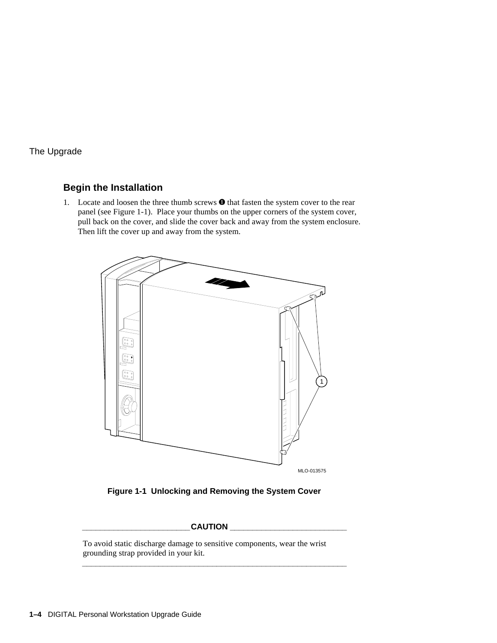## **Begin the Installation**

1. Locate and loosen the three thumb screws  $\bullet$  that fasten the system cover to the rear panel (see Figure 1-1). Place your thumbs on the upper corners of the system cover, pull back on the cover, and slide the cover back and away from the system enclosure. Then lift the cover up and away from the system.



**Figure 1-1 Unlocking and Removing the System Cover**

#### **\_\_\_\_\_\_\_\_\_\_\_\_\_\_\_\_\_\_\_\_\_\_\_\_CAUTION \_\_\_\_\_\_\_\_\_\_\_\_\_\_\_\_\_\_\_\_\_\_\_\_\_\_**

**\_\_\_\_\_\_\_\_\_\_\_\_\_\_\_\_\_\_\_\_\_\_\_\_\_\_\_\_\_\_\_\_\_\_\_\_\_\_\_\_\_\_\_\_\_\_\_\_\_\_\_\_\_\_\_\_\_\_\_**

To avoid static discharge damage to sensitive components, wear the wrist grounding strap provided in your kit.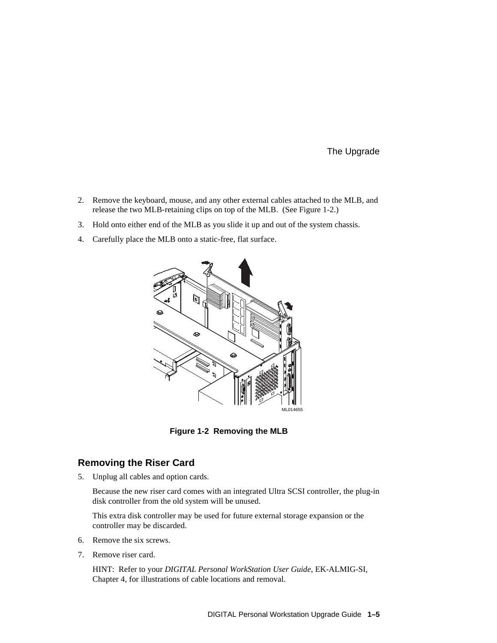- 2. Remove the keyboard, mouse, and any other external cables attached to the MLB, and release the two MLB-retaining clips on top of the MLB. (See Figure 1-2.)
- 3. Hold onto either end of the MLB as you slide it up and out of the system chassis.
- 4. Carefully place the MLB onto a static-free, flat surface.



**Figure 1-2 Removing the MLB**

#### **Removing the Riser Card**

5. Unplug all cables and option cards.

 Because the new riser card comes with an integrated Ultra SCSI controller, the plug-in disk controller from the old system will be unused.

 This extra disk controller may be used for future external storage expansion or the controller may be discarded.

- 6. Remove the six screws.
- 7. Remove riser card.

 HINT: Refer to your *DIGITAL Personal WorkStation User Guide*, EK-ALMIG-SI, Chapter 4, for illustrations of cable locations and removal.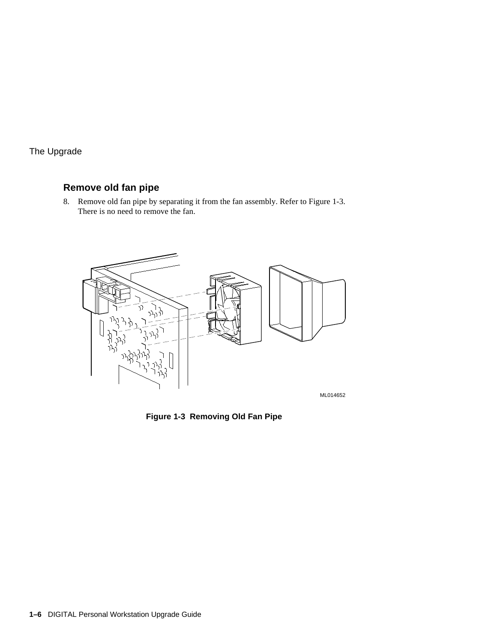## **Remove old fan pipe**

8. Remove old fan pipe by separating it from the fan assembly. Refer to Figure 1-3. There is no need to remove the fan.



ML014652

**Figure 1-3 Removing Old Fan Pipe**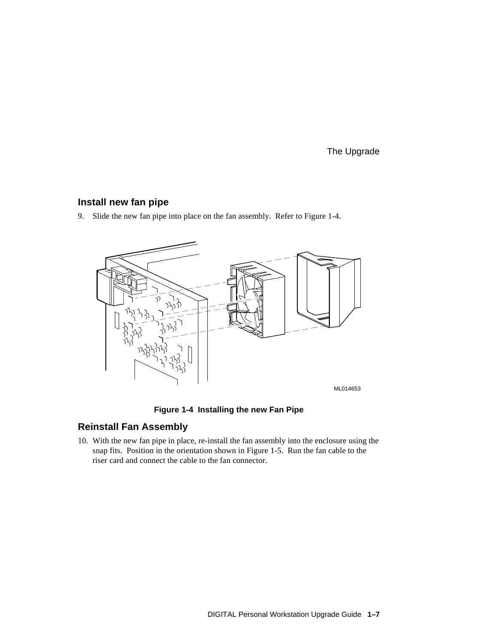### **Install new fan pipe**

9. Slide the new fan pipe into place on the fan assembly. Refer to Figure 1-4.



**Figure 1-4 Installing the new Fan Pipe**

### **Reinstall Fan Assembly**

10. With the new fan pipe in place, re-install the fan assembly into the enclosure using the snap fits. Position in the orientation shown in Figure 1-5. Run the fan cable to the riser card and connect the cable to the fan connector.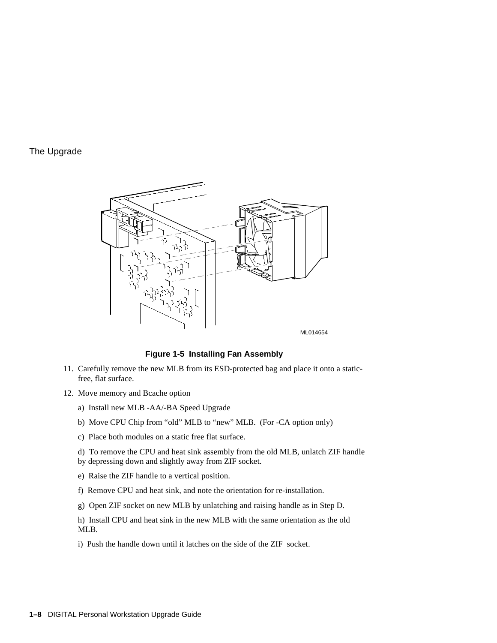

ML014654

#### **Figure 1-5 Installing Fan Assembly**

- 11. Carefully remove the new MLB from its ESD-protected bag and place it onto a staticfree, flat surface.
- 12. Move memory and Bcache option
	- a) Install new MLB -AA/-BA Speed Upgrade
	- b) Move CPU Chip from "old" MLB to "new" MLB. (For -CA option only)
	- c) Place both modules on a static free flat surface.
	- d) To remove the CPU and heat sink assembly from the old MLB, unlatch ZIF handle by depressing down and slightly away from ZIF socket.
	- e) Raise the ZIF handle to a vertical position.
	- f) Remove CPU and heat sink, and note the orientation for re-installation.
	- g) Open ZIF socket on new MLB by unlatching and raising handle as in Step D.

 h) Install CPU and heat sink in the new MLB with the same orientation as the old MLB.

i) Push the handle down until it latches on the side of the ZIF socket.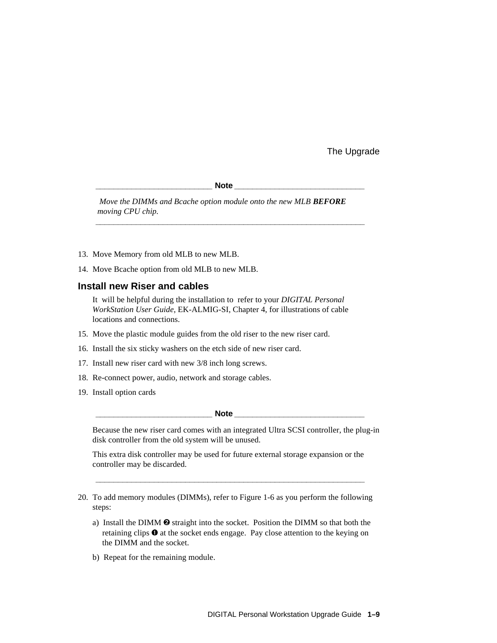$\bf Note$ 

 *Move the DIMMs and Bcache option module onto the new MLB BEFORE moving CPU chip.*

**\_\_\_\_\_\_\_\_\_\_\_\_\_\_\_\_\_\_\_\_\_\_\_\_\_\_\_\_\_\_\_\_\_\_\_\_\_\_\_\_\_\_\_\_\_\_\_\_\_\_\_\_\_\_\_\_\_\_\_\_**

- 13. Move Memory from old MLB to new MLB.
- 14. Move Bcache option from old MLB to new MLB.

#### **Install new Riser and cables**

 It will be helpful during the installation to refer to your *DIGITAL Personal WorkStation User Guide*, EK-ALMIG-SI, Chapter 4, for illustrations of cable locations and connections.

- 15. Move the plastic module guides from the old riser to the new riser card.
- 16. Install the six sticky washers on the etch side of new riser card.
- 17. Install new riser card with new 3/8 inch long screws.
- 18. Re-connect power, audio, network and storage cables.
- 19. Install option cards

**Note**  $\blacksquare$ 

 Because the new riser card comes with an integrated Ultra SCSI controller, the plug-in disk controller from the old system will be unused.

 This extra disk controller may be used for future external storage expansion or the controller may be discarded.

**\_\_\_\_\_\_\_\_\_\_\_\_\_\_\_\_\_\_\_\_\_\_\_\_\_\_\_\_\_\_\_\_\_\_\_\_\_\_\_\_\_\_\_\_\_\_\_\_\_\_\_\_\_\_\_\_\_\_\_\_**

20. To add memory modules (DIMMs), refer to Figure 1-6 as you perform the following steps:

- a) Install the DIMM  $\odot$  straight into the socket. Position the DIMM so that both the retaining clips  $\bullet$  at the socket ends engage. Pay close attention to the keying on the DIMM and the socket.
- b) Repeat for the remaining module.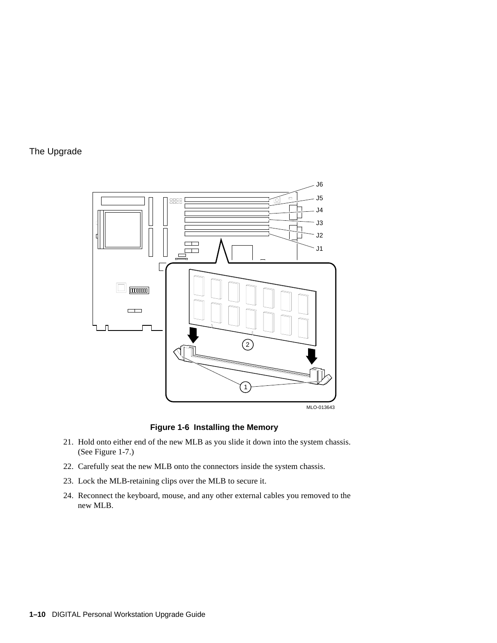

**Figure 1-6 Installing the Memory**

- 21. Hold onto either end of the new MLB as you slide it down into the system chassis. (See Figure 1-7.)
- 22. Carefully seat the new MLB onto the connectors inside the system chassis.
- 23. Lock the MLB-retaining clips over the MLB to secure it.
- 24. Reconnect the keyboard, mouse, and any other external cables you removed to the new MLB.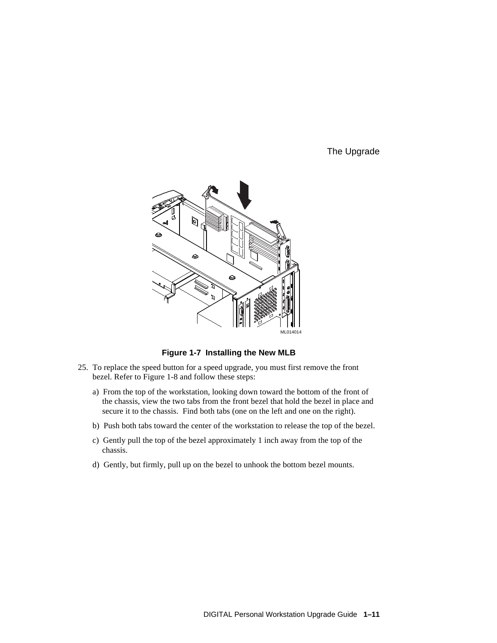

**Figure 1-7 Installing the New MLB**

- 25. To replace the speed button for a speed upgrade, you must first remove the front bezel. Refer to Figure 1-8 and follow these steps:
	- a) From the top of the workstation, looking down toward the bottom of the front of the chassis, view the two tabs from the front bezel that hold the bezel in place and secure it to the chassis. Find both tabs (one on the left and one on the right).
	- b) Push both tabs toward the center of the workstation to release the top of the bezel.
	- c) Gently pull the top of the bezel approximately 1 inch away from the top of the chassis.
	- d) Gently, but firmly, pull up on the bezel to unhook the bottom bezel mounts.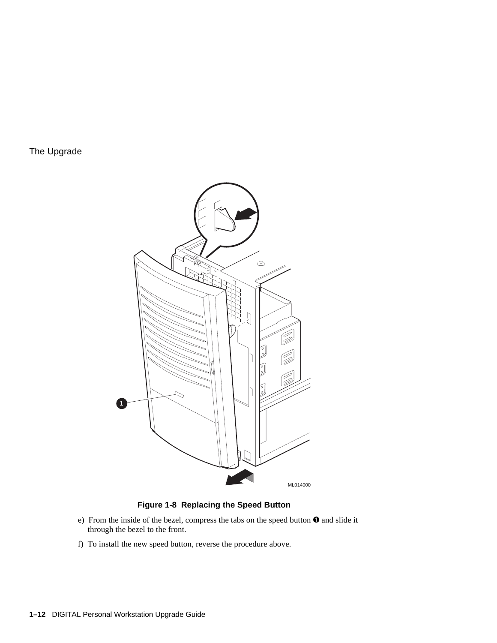

#### **Figure 1-8 Replacing the Speed Button**

- e) From the inside of the bezel, compress the tabs on the speed button  $\mathbf 0$  and slide it through the bezel to the front.
- f) To install the new speed button, reverse the procedure above.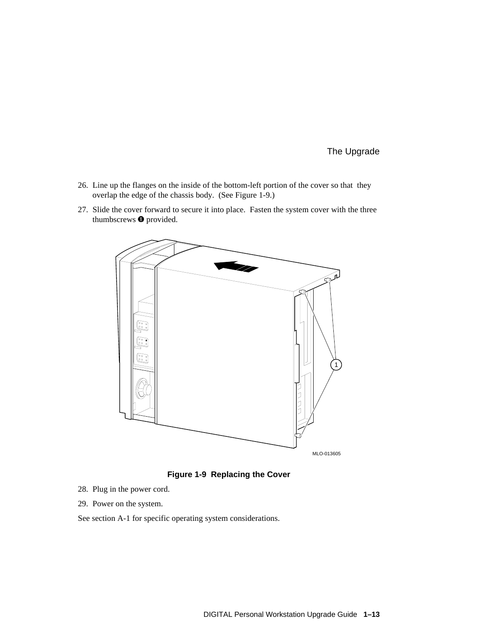- 26. Line up the flanges on the inside of the bottom-left portion of the cover so that they overlap the edge of the chassis body. (See Figure 1-9.)
- 27. Slide the cover forward to secure it into place. Fasten the system cover with the three thumbscrews  $\bullet$  provided.



**Figure 1-9 Replacing the Cover**

- 28. Plug in the power cord.
- 29. Power on the system.
- See section A-1 for specific operating system considerations.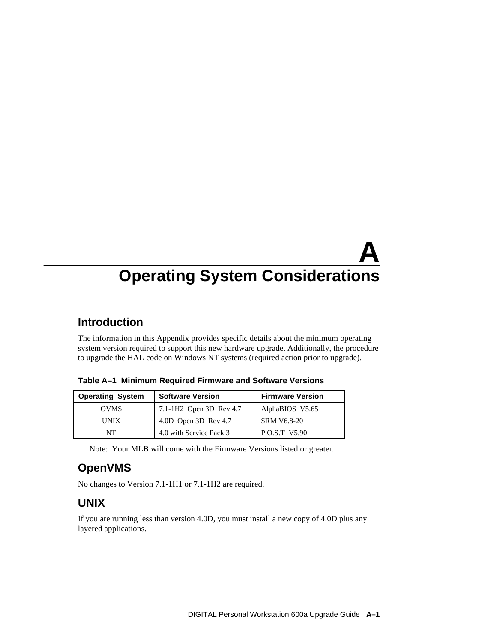# **A Operating System Considerations**

## **Introduction**

The information in this Appendix provides specific details about the minimum operating system version required to support this new hardware upgrade. Additionally, the procedure to upgrade the HAL code on Windows NT systems (required action prior to upgrade).

| <b>Operating System</b> | <b>Software Version</b>             | <b>Firmware Version</b> |
|-------------------------|-------------------------------------|-------------------------|
| <b>OVMS</b>             | 7.1-1H <sub>2</sub> Open 3D Rev 4.7 | AlphaBIOS V5.65         |
| <b>UNIX</b>             | 4.0D Open 3D Rev 4.7                | <b>SRM V6.8-20</b>      |
| NT                      | 4.0 with Service Pack 3             | <b>P.O.S.T V5.90</b>    |

**Table A–1 Minimum Required Firmware and Software Versions**

Note: Your MLB will come with the Firmware Versions listed or greater.

# **OpenVMS**

No changes to Version 7.1-1H1 or 7.1-1H2 are required.

# **UNIX**

If you are running less than version 4.0D, you must install a new copy of 4.0D plus any layered applications.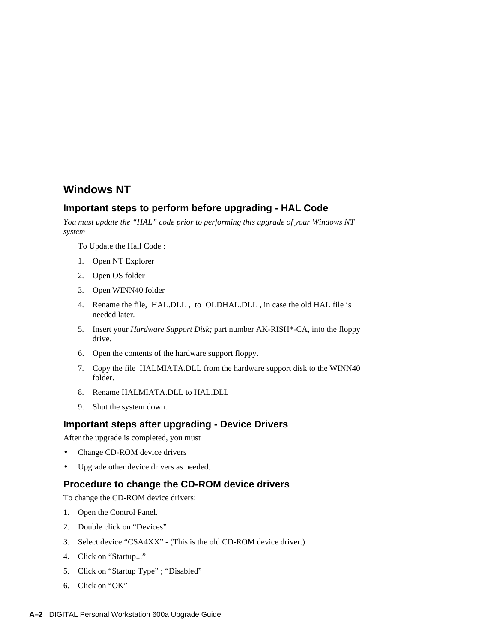## **Windows NT**

#### **Important steps to perform before upgrading - HAL Code**

*You must update the "HAL" code prior to performing this upgrade of your Windows NT system*

To Update the Hall Code :

- 1. Open NT Explorer
- 2. Open OS folder
- 3. Open WINN40 folder
- 4. Rename the file, HAL.DLL , to OLDHAL.DLL , in case the old HAL file is needed later.
- 5. Insert your *Hardware Support Disk;* part number AK-RISH\*-CA, into the floppy drive.
- 6. Open the contents of the hardware support floppy.
- 7. Copy the file HALMIATA.DLL from the hardware support disk to the WINN40 folder.
- 8. Rename HALMIATA.DLL to HAL.DLL
- 9. Shut the system down.

#### **Important steps after upgrading - Device Drivers**

After the upgrade is completed, you must

- Change CD-ROM device drivers
- Upgrade other device drivers as needed.

#### **Procedure to change the CD-ROM device drivers**

To change the CD-ROM device drivers:

- 1. Open the Control Panel.
- 2. Double click on "Devices"
- 3. Select device "CSA4XX" (This is the old CD-ROM device driver.)
- 4. Click on "Startup..."
- 5. Click on "Startup Type" ; "Disabled"
- 6. Click on "OK"